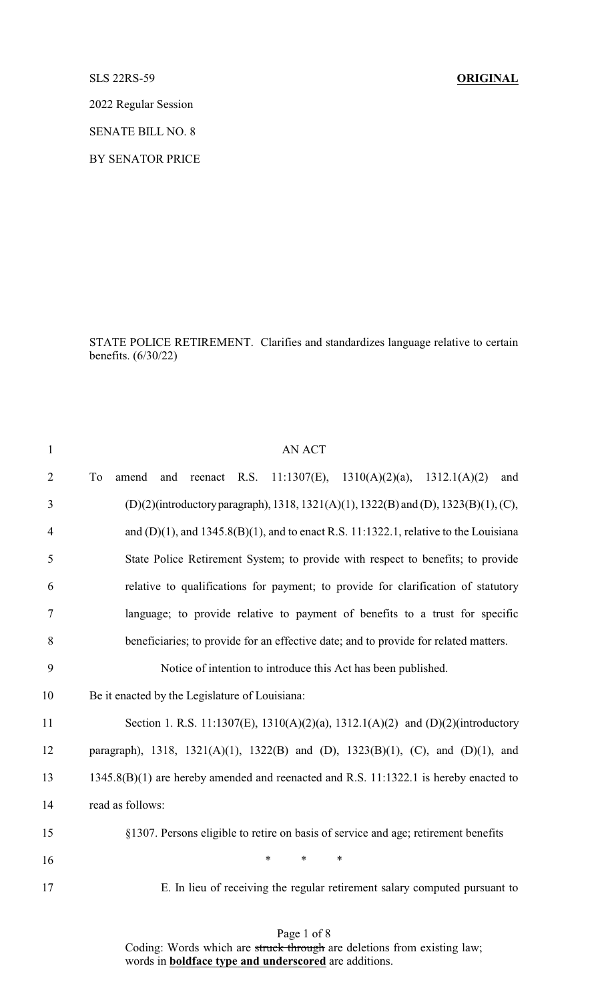SLS 22RS-59 **ORIGINAL**

2022 Regular Session

SENATE BILL NO. 8

BY SENATOR PRICE

STATE POLICE RETIREMENT. Clarifies and standardizes language relative to certain benefits. (6/30/22)

| $\mathbf{1}$   | <b>AN ACT</b>                                                                              |
|----------------|--------------------------------------------------------------------------------------------|
| $\overline{2}$ | To<br>11:1307(E), 1310(A)(2)(a), 1312.1(A)(2)<br>and<br>amend<br>and<br>reenact R.S.       |
| 3              | (D)(2)(introductory paragraph), 1318, 1321(A)(1), 1322(B) and (D), 1323(B)(1), (C),        |
| $\overline{4}$ | and $(D)(1)$ , and $1345.8(B)(1)$ , and to enact R.S. 11:1322.1, relative to the Louisiana |
| 5              | State Police Retirement System; to provide with respect to benefits; to provide            |
| 6              | relative to qualifications for payment; to provide for clarification of statutory          |
| $\tau$         | language; to provide relative to payment of benefits to a trust for specific               |
| 8              | beneficiaries; to provide for an effective date; and to provide for related matters.       |
| 9              | Notice of intention to introduce this Act has been published.                              |
| 10             | Be it enacted by the Legislature of Louisiana:                                             |
| 11             | Section 1. R.S. 11:1307(E), 1310(A)(2)(a), 1312.1(A)(2) and (D)(2)(introductory            |
| 12             | paragraph), 1318, 1321(A)(1), 1322(B) and (D), 1323(B)(1), (C), and (D)(1), and            |
| 13             | 1345.8(B)(1) are hereby amended and reenacted and R.S. 11:1322.1 is hereby enacted to      |
| 14             | read as follows:                                                                           |
| 15             | §1307. Persons eligible to retire on basis of service and age; retirement benefits         |
| 16             | $\ast$<br>*<br>∗                                                                           |
| 17             | E. In lieu of receiving the regular retirement salary computed pursuant to                 |

Page 1 of 8 Coding: Words which are struck through are deletions from existing law; words in **boldface type and underscored** are additions.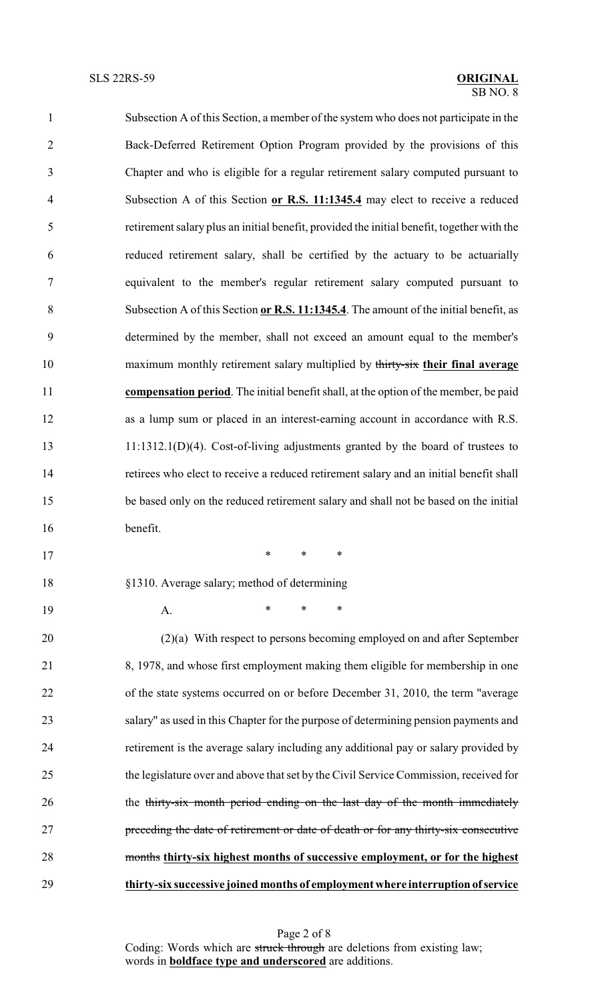| $\mathbf{1}$   | Subsection A of this Section, a member of the system who does not participate in the       |
|----------------|--------------------------------------------------------------------------------------------|
| $\overline{2}$ | Back-Deferred Retirement Option Program provided by the provisions of this                 |
| 3              | Chapter and who is eligible for a regular retirement salary computed pursuant to           |
| 4              | Subsection A of this Section or R.S. 11:1345.4 may elect to receive a reduced              |
| 5              | retirement salary plus an initial benefit, provided the initial benefit, together with the |
| 6              | reduced retirement salary, shall be certified by the actuary to be actuarially             |
| 7              | equivalent to the member's regular retirement salary computed pursuant to                  |
| 8              | Subsection A of this Section or R.S. 11:1345.4. The amount of the initial benefit, as      |
| 9              | determined by the member, shall not exceed an amount equal to the member's                 |
| 10             | maximum monthly retirement salary multiplied by thirty-six their final average             |
| 11             | compensation period. The initial benefit shall, at the option of the member, be paid       |
| 12             | as a lump sum or placed in an interest-earning account in accordance with R.S.             |
| 13             | $11:1312.1(D)(4)$ . Cost-of-living adjustments granted by the board of trustees to         |
| 14             | retirees who elect to receive a reduced retirement salary and an initial benefit shall     |
| 15             | be based only on the reduced retirement salary and shall not be based on the initial       |
| 16             | benefit.                                                                                   |
| 17             | $\ast$<br>$\ast$<br>$\ast$                                                                 |
| 18             | §1310. Average salary; method of determining                                               |
| 19             | *<br>*<br>∗<br>A.                                                                          |

 (2)(a) With respect to persons becoming employed on and after September 8, 1978, and whose first employment making them eligible for membership in one of the state systems occurred on or before December 31, 2010, the term "average salary" as used in this Chapter for the purpose of determining pension payments and retirement is the average salary including any additional pay or salary provided by the legislature over and above that set by the Civil Service Commission, received for 26 the thirty-six month period ending on the last day of the month immediately preceding the date of retirement or date of death or for any thirty-six consecutive months **thirty-six highest months of successive employment, or for the highest thirty-six successive joined months of employment where interruption of service**

> Page 2 of 8 Coding: Words which are struck through are deletions from existing law; words in **boldface type and underscored** are additions.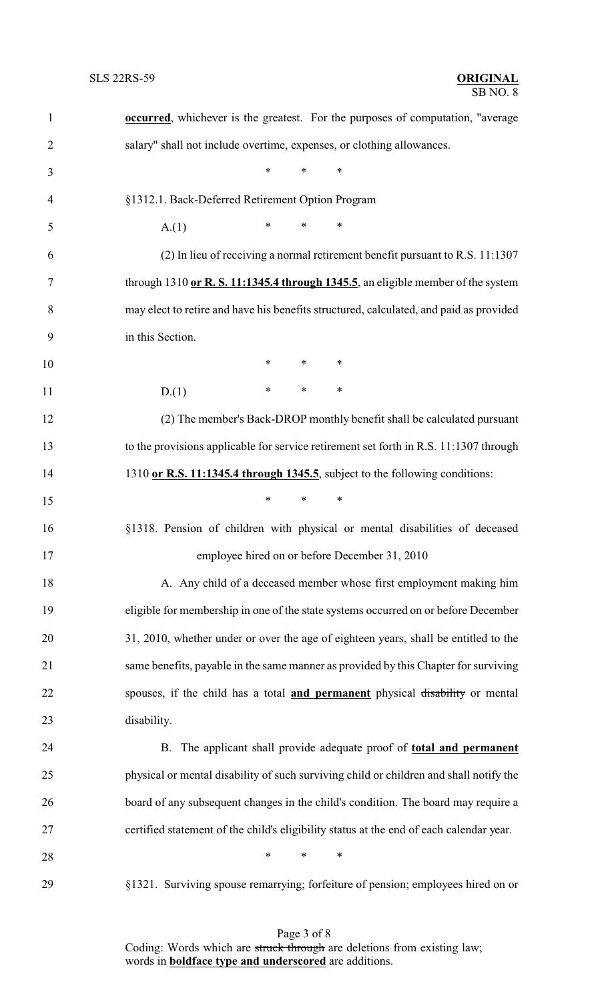| $\mathbf{1}$   | <b>occurred</b> , whichever is the greatest. For the purposes of computation, "average  |  |  |  |
|----------------|-----------------------------------------------------------------------------------------|--|--|--|
| $\overline{2}$ | salary" shall not include overtime, expenses, or clothing allowances.                   |  |  |  |
| 3              | $\ast$<br>$\ast$<br>*                                                                   |  |  |  |
| $\overline{4}$ | §1312.1. Back-Deferred Retirement Option Program                                        |  |  |  |
| 5              | $\ast$<br>$\ast$<br>$\ast$<br>A(1)                                                      |  |  |  |
| 6              | $(2)$ In lieu of receiving a normal retirement benefit pursuant to R.S. 11:1307         |  |  |  |
| 7              | through 1310 or R. S. 11:1345.4 through 1345.5, an eligible member of the system        |  |  |  |
| 8              | may elect to retire and have his benefits structured, calculated, and paid as provided  |  |  |  |
| 9              | in this Section.                                                                        |  |  |  |
| 10             | $\ast$<br>$\ast$<br>∗                                                                   |  |  |  |
| 11             | $\ast$<br>$\ast$<br>$\ast$<br>D(1)                                                      |  |  |  |
| 12             | (2) The member's Back-DROP monthly benefit shall be calculated pursuant                 |  |  |  |
| 13             | to the provisions applicable for service retirement set forth in R.S. 11:1307 through   |  |  |  |
| 14             | 1310 or R.S. 11:1345.4 through 1345.5, subject to the following conditions:             |  |  |  |
| 15             | $\ast$<br>$\ast$<br>∗                                                                   |  |  |  |
| 16             | §1318. Pension of children with physical or mental disabilities of deceased             |  |  |  |
| 17             | employee hired on or before December 31, 2010                                           |  |  |  |
| 18             | A. Any child of a deceased member whose first employment making him                     |  |  |  |
| 19             | eligible for membership in one of the state systems occurred on or before December      |  |  |  |
| 20             | 31, 2010, whether under or over the age of eighteen years, shall be entitled to the     |  |  |  |
| 21             | same benefits, payable in the same manner as provided by this Chapter for surviving     |  |  |  |
| 22             | spouses, if the child has a total and permanent physical disability or mental           |  |  |  |
| 23             | disability.                                                                             |  |  |  |
| 24             | B. The applicant shall provide adequate proof of total and permanent                    |  |  |  |
| 25             | physical or mental disability of such surviving child or children and shall notify the  |  |  |  |
| 26             | board of any subsequent changes in the child's condition. The board may require a       |  |  |  |
| 27             | certified statement of the child's eligibility status at the end of each calendar year. |  |  |  |
| 28             | $\ast$<br>∗<br>∗                                                                        |  |  |  |
| 29             | §1321. Surviving spouse remarrying; forfeiture of pension; employees hired on or        |  |  |  |
|                |                                                                                         |  |  |  |

Page 3 of 8 Coding: Words which are struck through are deletions from existing law; words in **boldface type and underscored** are additions.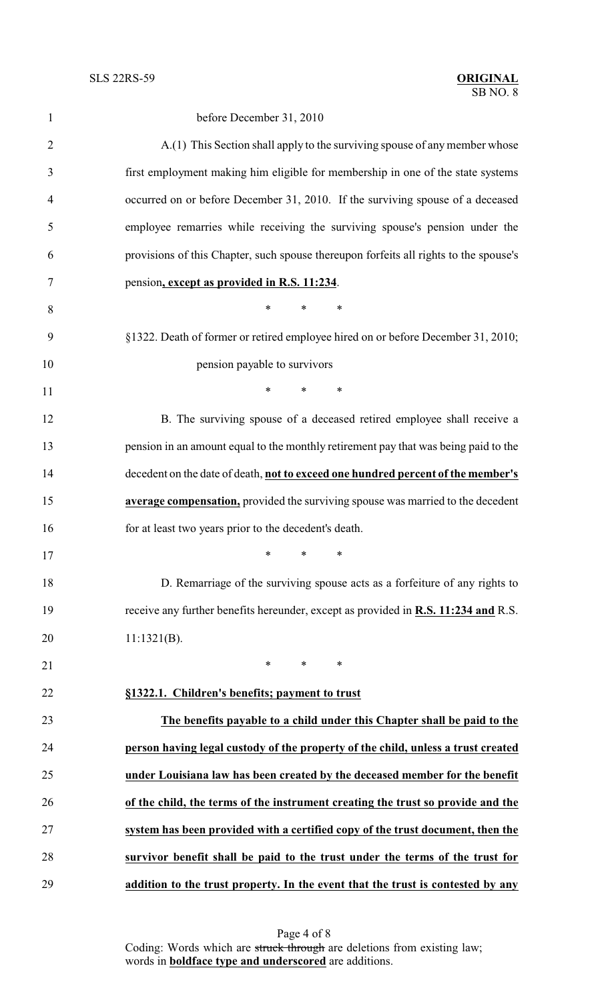| $\mathbf{1}$   | before December 31, 2010                                                              |
|----------------|---------------------------------------------------------------------------------------|
| $\overline{2}$ | A.(1) This Section shall apply to the surviving spouse of any member whose            |
| 3              | first employment making him eligible for membership in one of the state systems       |
| 4              | occurred on or before December 31, 2010. If the surviving spouse of a deceased        |
| 5              | employee remarries while receiving the surviving spouse's pension under the           |
| 6              | provisions of this Chapter, such spouse thereupon forfeits all rights to the spouse's |
| 7              | pension, except as provided in R.S. 11:234.                                           |
| 8              | $\ast$<br>$\ast$<br>$\ast$                                                            |
| 9              | §1322. Death of former or retired employee hired on or before December 31, 2010;      |
| 10             | pension payable to survivors                                                          |
| 11             | *<br>$\ast$<br>$\ast$                                                                 |
| 12             | B. The surviving spouse of a deceased retired employee shall receive a                |
| 13             | pension in an amount equal to the monthly retirement pay that was being paid to the   |
| 14             | decedent on the date of death, not to exceed one hundred percent of the member's      |
| 15             | average compensation, provided the surviving spouse was married to the decedent       |
| 16             | for at least two years prior to the decedent's death.                                 |
| 17             | $\begin{array}{ccc} \star \end{array}$                                                |
| 18             | D. Remarriage of the surviving spouse acts as a forfeiture of any rights to           |
| 19             | receive any further benefits hereunder, except as provided in R.S. 11:234 and R.S.    |
| 20             | $11:1321(B)$ .                                                                        |
| 21             | $\ast$<br>$\ast$<br>∗                                                                 |
| 22             | §1322.1. Children's benefits; payment to trust                                        |
| 23             | The benefits payable to a child under this Chapter shall be paid to the               |
| 24             | person having legal custody of the property of the child, unless a trust created      |
| 25             | under Louisiana law has been created by the deceased member for the benefit           |
| 26             | of the child, the terms of the instrument creating the trust so provide and the       |
| 27             | system has been provided with a certified copy of the trust document, then the        |
| 28             | survivor benefit shall be paid to the trust under the terms of the trust for          |
| 29             | addition to the trust property. In the event that the trust is contested by any       |

Page 4 of 8 Coding: Words which are struck through are deletions from existing law; words in **boldface type and underscored** are additions.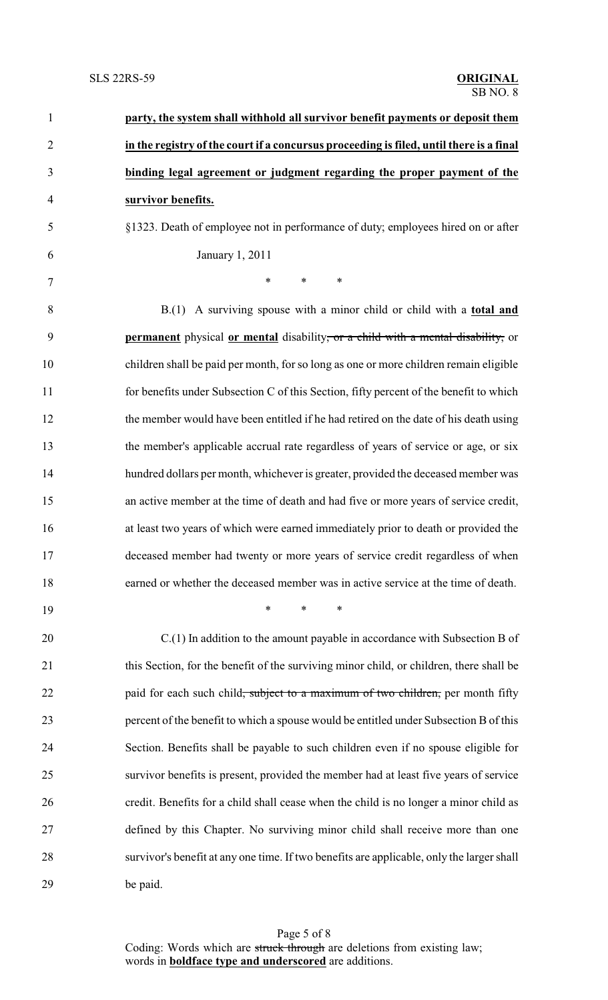| $\mathbf{1}$   | party, the system shall withhold all survivor benefit payments or deposit them              |
|----------------|---------------------------------------------------------------------------------------------|
| $\overline{2}$ | in the registry of the court if a concursus proceeding is filed, until there is a final     |
| 3              | binding legal agreement or judgment regarding the proper payment of the                     |
| $\overline{4}$ | survivor benefits.                                                                          |
| 5              | §1323. Death of employee not in performance of duty; employees hired on or after            |
| 6              | January 1, 2011                                                                             |
| 7              | $\ast$<br>*<br>∗                                                                            |
| 8              | $B(1)$ A surviving spouse with a minor child or child with a <b>total and</b>               |
| 9              | permanent physical or mental disability, or a child with a mental disability, or            |
| 10             | children shall be paid per month, for so long as one or more children remain eligible       |
| 11             | for benefits under Subsection C of this Section, fifty percent of the benefit to which      |
| 12             | the member would have been entitled if he had retired on the date of his death using        |
| 13             | the member's applicable accrual rate regardless of years of service or age, or six          |
| 14             | hundred dollars per month, whichever is greater, provided the deceased member was           |
| 15             | an active member at the time of death and had five or more years of service credit,         |
| 16             | at least two years of which were earned immediately prior to death or provided the          |
| 17             | deceased member had twenty or more years of service credit regardless of when               |
| 18             | earned or whether the deceased member was in active service at the time of death.           |
| 19             | $\ast$<br>∗<br>∗                                                                            |
| 20             | $C(1)$ In addition to the amount payable in accordance with Subsection B of                 |
| 21             | this Section, for the benefit of the surviving minor child, or children, there shall be     |
| 22             | paid for each such child <del>, subject to a maximum of two children,</del> per month fifty |
| 23             | percent of the benefit to which a spouse would be entitled under Subsection B of this       |
| 24             | Section. Benefits shall be payable to such children even if no spouse eligible for          |
| 25             | survivor benefits is present, provided the member had at least five years of service        |
| 26             | credit. Benefits for a child shall cease when the child is no longer a minor child as       |
| 27             | defined by this Chapter. No surviving minor child shall receive more than one               |
| 28             | survivor's benefit at any one time. If two benefits are applicable, only the larger shall   |
| 29             | be paid.                                                                                    |

Page 5 of 8 Coding: Words which are struck through are deletions from existing law; words in **boldface type and underscored** are additions.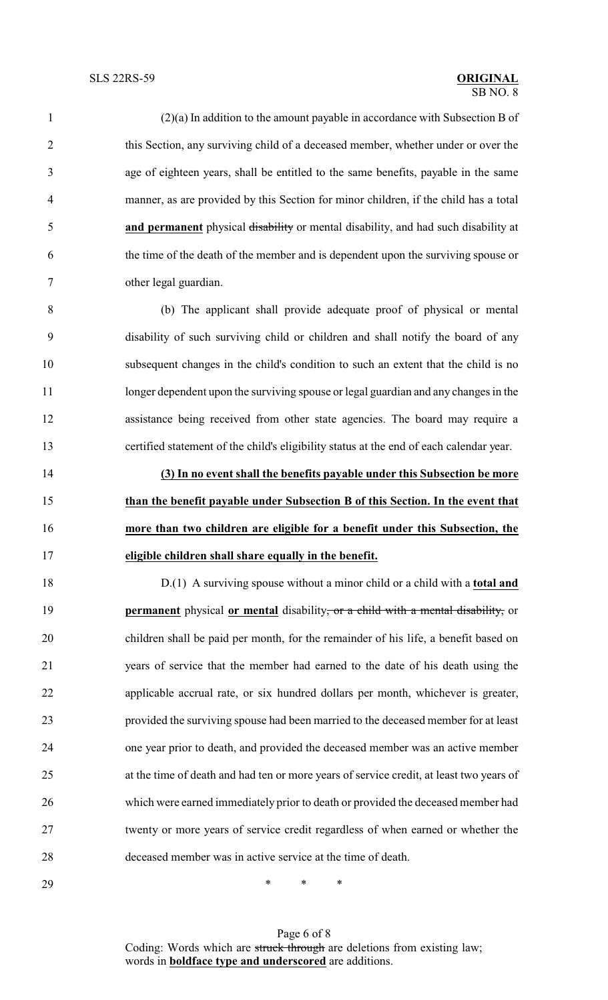(2)(a) In addition to the amount payable in accordance with Subsection B of this Section, any surviving child of a deceased member, whether under or over the age of eighteen years, shall be entitled to the same benefits, payable in the same manner, as are provided by this Section for minor children, if the child has a total **and permanent** physical disability or mental disability, and had such disability at the time of the death of the member and is dependent upon the surviving spouse or other legal guardian.

 (b) The applicant shall provide adequate proof of physical or mental disability of such surviving child or children and shall notify the board of any subsequent changes in the child's condition to such an extent that the child is no 11 longer dependent upon the surviving spouse or legal guardian and any changes in the assistance being received from other state agencies. The board may require a certified statement of the child's eligibility status at the end of each calendar year.

 **(3) In no event shall the benefits payable under this Subsection be more than the benefit payable under Subsection B of this Section. In the event that more than two children are eligible for a benefit under this Subsection, the eligible children shall share equally in the benefit.**

 D.(1) A surviving spouse without a minor child or a child with a **total and permanent** physical **or mental** disability, or a child with a mental disability, or children shall be paid per month, for the remainder of his life, a benefit based on years of service that the member had earned to the date of his death using the applicable accrual rate, or six hundred dollars per month, whichever is greater, provided the surviving spouse had been married to the deceased member for at least one year prior to death, and provided the deceased member was an active member at the time of death and had ten or more years of service credit, at least two years of which were earned immediately prior to death or provided the deceased member had twenty or more years of service credit regardless of when earned or whether the deceased member was in active service at the time of death.

\* \* \*

Page 6 of 8 Coding: Words which are struck through are deletions from existing law; words in **boldface type and underscored** are additions.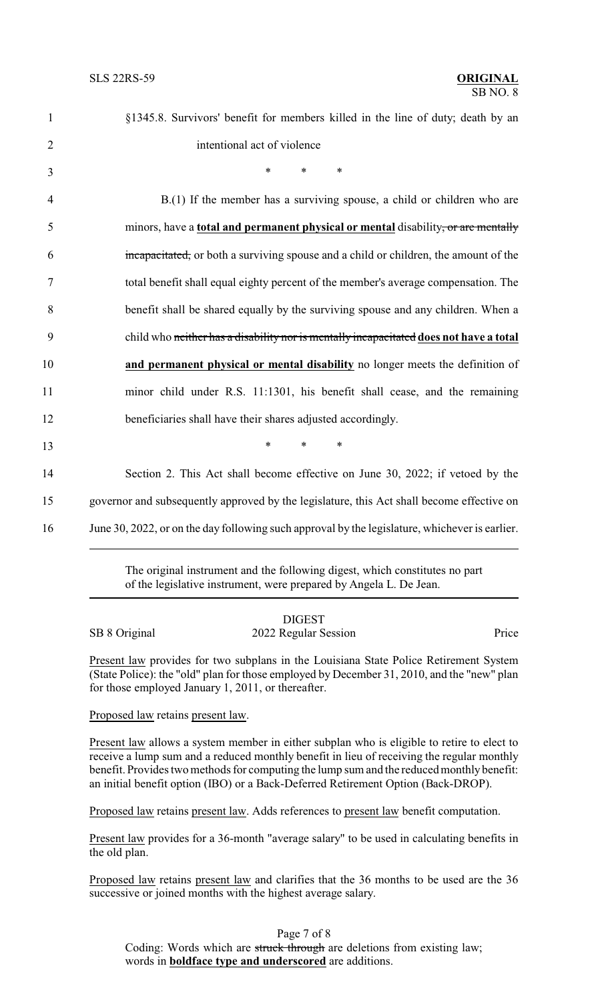| $\mathbf{1}$   | §1345.8. Survivors' benefit for members killed in the line of duty; death by an                |
|----------------|------------------------------------------------------------------------------------------------|
| $\overline{2}$ | intentional act of violence                                                                    |
| 3              | $\ast$<br>$\ast$<br>∗                                                                          |
| $\overline{4}$ | B.(1) If the member has a surviving spouse, a child or children who are                        |
| 5              | minors, have a <b>total and permanent physical or mental</b> disability, or are mentally       |
| 6              | incapacitated, or both a surviving spouse and a child or children, the amount of the           |
| $\tau$         | total benefit shall equal eighty percent of the member's average compensation. The             |
| 8              | benefit shall be shared equally by the surviving spouse and any children. When a               |
| 9              | child who neither has a disability nor is mentally incapacitated does not have a total         |
| 10             | and permanent physical or mental disability no longer meets the definition of                  |
| 11             | minor child under R.S. 11:1301, his benefit shall cease, and the remaining                     |
| 12             | beneficiaries shall have their shares adjusted accordingly.                                    |
| 13             | $*$<br>$\ast$<br>$\ast$                                                                        |
| 14             | Section 2. This Act shall become effective on June 30, 2022; if vetoed by the                  |
| 15             | governor and subsequently approved by the legislature, this Act shall become effective on      |
| 16             | June 30, 2022, or on the day following such approval by the legislature, whichever is earlier. |
|                |                                                                                                |

The original instrument and the following digest, which constitutes no part of the legislative instrument, were prepared by Angela L. De Jean.

|               | <b>DIGEST</b>        |       |
|---------------|----------------------|-------|
| SB 8 Original | 2022 Regular Session | Price |

Present law provides for two subplans in the Louisiana State Police Retirement System (State Police): the "old" plan for those employed by December 31, 2010, and the "new" plan for those employed January 1, 2011, or thereafter.

Proposed law retains present law.

Present law allows a system member in either subplan who is eligible to retire to elect to receive a lump sum and a reduced monthly benefit in lieu of receiving the regular monthly benefit. Provides two methods for computing the lump sum and the reduced monthly benefit: an initial benefit option (IBO) or a Back-Deferred Retirement Option (Back-DROP).

Proposed law retains present law. Adds references to present law benefit computation.

Present law provides for a 36-month "average salary" to be used in calculating benefits in the old plan.

Proposed law retains present law and clarifies that the 36 months to be used are the 36 successive or joined months with the highest average salary.

Page 7 of 8 Coding: Words which are struck through are deletions from existing law; words in **boldface type and underscored** are additions.